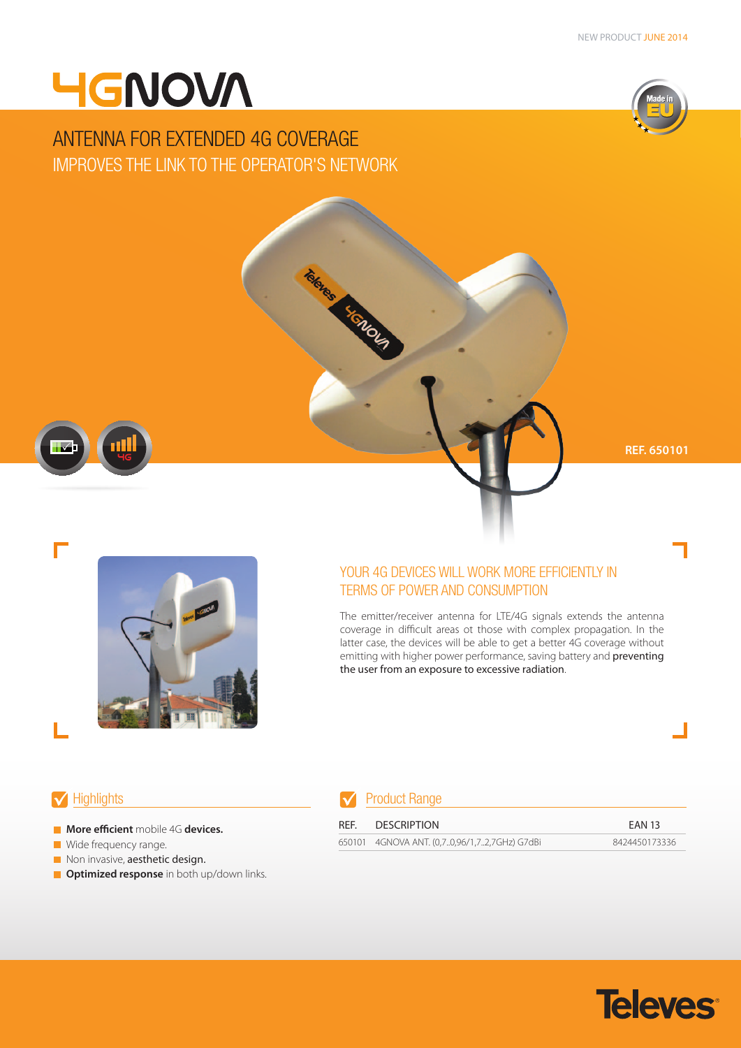# **4GNOVA**

## ANTENNA FOR EXTENDED 4G COVERAGE IMPROVES THE LINK TO THE OPERATOR'S NETWORK



**REF. 650101**



### YOUR 4G DEVICES WILL WORK MORE EFFICIENTLY IN TERMS OF POWER AND CONSUMPTION

The emitter/receiver antenna for LTE/4G signals extends the antenna coverage in difficult areas ot those with complex propagation. In the latter case, the devices will be able to get a better 4G coverage without emitting with higher power performance, saving battery and preventing the user from an exposure to excessive radiation.

- **More efficient** mobile 4G **devices.**
- **Wide frequency range.**
- Non invasive, aesthetic design.
- **Optimized response** in both up/down links.

### Highlights **Product Range**

Take Read Protocol

| REF. | DESCRIPTION                                  | <b>EAN 13</b> |
|------|----------------------------------------------|---------------|
|      | 650101 4GNOVA ANT. (0,70,96/1,72,7GHz) G7dBi | 8424450173336 |